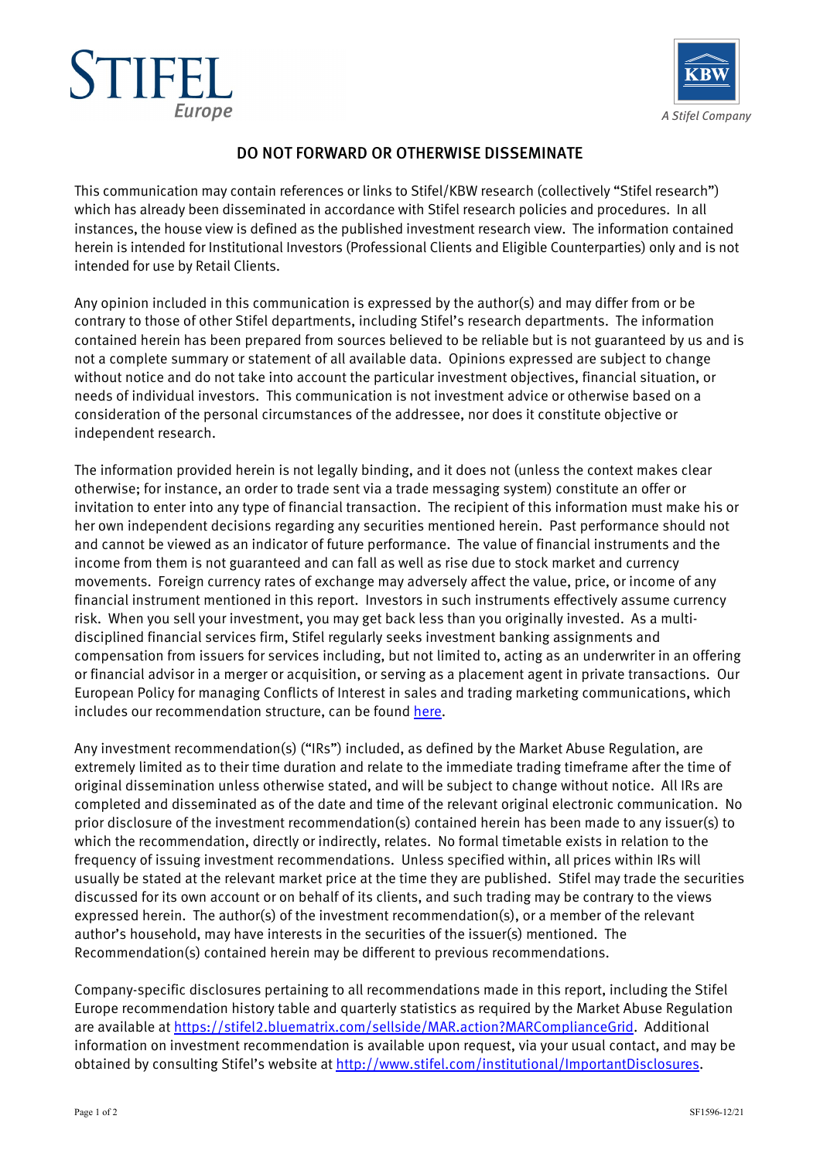



## DO NOT FORWARD OR OTHERWISE DISSEMINATE

This communication may contain references or links to Stifel/KBW research (collectively "Stifel research") which has already been disseminated in accordance with Stifel research policies and procedures. In all instances, the house view is defined as the published investment research view. The information contained herein is intended for Institutional Investors (Professional Clients and Eligible Counterparties) only and is not intended for use by Retail Clients.

Any opinion included in this communication is expressed by the author(s) and may differ from or be contrary to those of other Stifel departments, including Stifel's research departments. The information contained herein has been prepared from sources believed to be reliable but is not guaranteed by us and is not a complete summary or statement of all available data. Opinions expressed are subject to change without notice and do not take into account the particular investment objectives, financial situation, or needs of individual investors. This communication is not investment advice or otherwise based on a consideration of the personal circumstances of the addressee, nor does it constitute objective or independent research.

The information provided herein is not legally binding, and it does not (unless the context makes clear otherwise; for instance, an order to trade sent via a trade messaging system) constitute an offer or invitation to enter into any type of financial transaction. The recipient of this information must make his or her own independent decisions regarding any securities mentioned herein. Past performance should not and cannot be viewed as an indicator of future performance. The value of financial instruments and the income from them is not guaranteed and can fall as well as rise due to stock market and currency movements. Foreign currency rates of exchange may adversely affect the value, price, or income of any financial instrument mentioned in this report. Investors in such instruments effectively assume currency risk. When you sell your investment, you may get back less than you originally invested. As a multidisciplined financial services firm, Stifel regularly seeks investment banking assignments and compensation from issuers for services including, but not limited to, acting as an underwriter in an offering or financial advisor in a merger or acquisition, or serving as a placement agent in private transactions. Our European Policy for managing Conflicts of Interest in sales and trading marketing communications, which includes our recommendation structure, can be found here.

Any investment recommendation(s) ("IRs") included, as defined by the Market Abuse Regulation, are extremely limited as to their time duration and relate to the immediate trading timeframe after the time of original dissemination unless otherwise stated, and will be subject to change without notice. All IRs are completed and disseminated as of the date and time of the relevant original electronic communication. No prior disclosure of the investment recommendation(s) contained herein has been made to any issuer(s) to which the recommendation, directly or indirectly, relates. No formal timetable exists in relation to the frequency of issuing investment recommendations. Unless specified within, all prices within IRs will usually be stated at the relevant market price at the time they are published. Stifel may trade the securities discussed for its own account or on behalf of its clients, and such trading may be contrary to the views expressed herein. The author(s) of the investment recommendation(s), or a member of the relevant author's household, may have interests in the securities of the issuer(s) mentioned. The Recommendation(s) contained herein may be different to previous recommendations.

Company-specific disclosures pertaining to all recommendations made in this report, including the Stifel Europe recommendation history table and quarterly statistics as required by the Market Abuse Regulation are available at https://stifel2.bluematrix.com/sellside/MAR.action?MARComplianceGrid. Additional information on investment recommendation is available upon request, via your usual contact, and may be obtained by consulting Stifel's website at http://www.stifel.com/institutional/ImportantDisclosures.